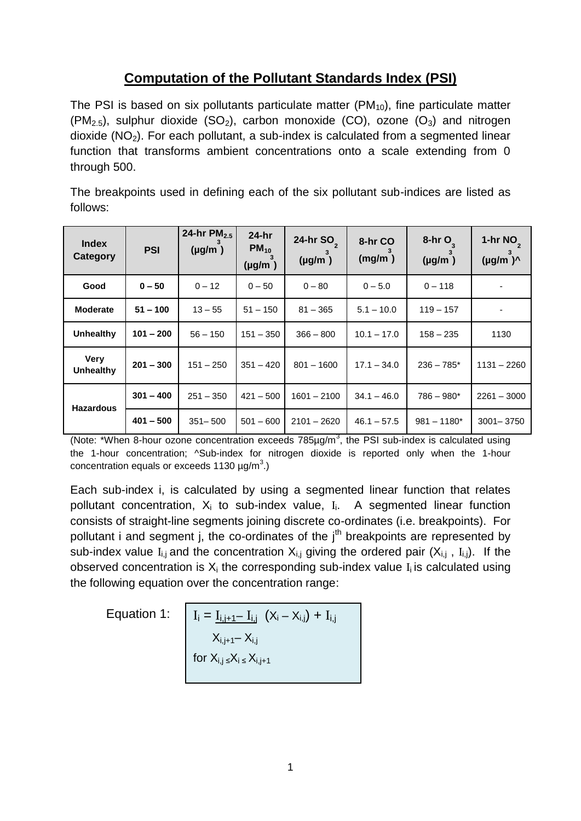## **Computation of the Pollutant Standards Index (PSI)**

The PSI is based on six pollutants particulate matter  $(PM_{10})$ , fine particulate matter  $(PM_{2.5})$ , sulphur dioxide  $(SO_2)$ , carbon monoxide  $(CO)$ , ozone  $(O_3)$  and nitrogen  $dioxide (NO<sub>2</sub>)$ . For each pollutant, a sub-index is calculated from a segmented linear function that transforms ambient concentrations onto a scale extending from 0 through 500.

The breakpoints used in defining each of the six pollutant sub-indices are listed as follows:

| <b>Index</b><br>Category | <b>PSI</b>  | 24-hr $PM_{2.5}$<br>$(\mu g/m)$ | $24-hr$<br>$PM_{10}$<br>$(\mu g/m)$ | 24-hr SO <sub>2</sub><br>$(\mu g/m)$ | 8-hr CO<br>(mg/m) | $8-hrO$<br>$(\mu g/m)$ | 1-hr $NOa$<br>$(\mu g/m)^{\Lambda}$ |
|--------------------------|-------------|---------------------------------|-------------------------------------|--------------------------------------|-------------------|------------------------|-------------------------------------|
| Good                     | $0 - 50$    | $0 - 12$                        | $0 - 50$                            | $0 - 80$                             | $0 - 5.0$         | $0 - 118$              |                                     |
| <b>Moderate</b>          | $51 - 100$  | $13 - 55$                       | $51 - 150$                          | $81 - 365$                           | $5.1 - 10.0$      | $119 - 157$            |                                     |
| Unhealthy                | $101 - 200$ | $56 - 150$                      | $151 - 350$                         | $366 - 800$                          | $10.1 - 17.0$     | $158 - 235$            | 1130                                |
| <b>Very</b><br>Unhealthy | $201 - 300$ | $151 - 250$                     | $351 - 420$                         | $801 - 1600$                         | $17.1 - 34.0$     | $236 - 785*$           | $1131 - 2260$                       |
| <b>Hazardous</b>         | $301 - 400$ | $251 - 350$                     | $421 - 500$                         | $1601 - 2100$                        | $34.1 - 46.0$     | $786 - 980*$           | $2261 - 3000$                       |
|                          | $401 - 500$ | $351 - 500$                     | $501 - 600$                         | $2101 - 2620$                        | $46.1 - 57.5$     | $981 - 1180*$          | 3001-3750                           |

(Note: \*When 8-hour ozone concentration exceeds  $785 \mu g/m^3$ , the PSI sub-index is calculated using the 1-hour concentration; ^Sub-index for nitrogen dioxide is reported only when the 1-hour concentration equals or exceeds 1130  $\mu$ g/m<sup>3</sup>.)

Each sub-index i, is calculated by using a segmented linear function that relates pollutant concentration,  $X_i$  to sub-index value,  $I_i$ . A segmented linear function consists of straight-line segments joining discrete co-ordinates (i.e. breakpoints). For pollutant i and segment j, the co-ordinates of the j<sup>th</sup> breakpoints are represented by sub-index value  $I_{i,j}$  and the concentration  $X_{i,j}$  giving the ordered pair  $(X_{i,j}$ ,  $I_{i,j})$ . If the observed concentration is  $X_i$  the corresponding sub-index value  $I_i$  is calculated using the following equation over the concentration range:

Equation 1:

$$
I_{i} = \underline{I_{i,j+1} - I_{i,j}} (X_{i} - X_{i,j}) + I_{i,j}
$$
  
 
$$
X_{i,j+1} - X_{i,j}
$$
  
for  $X_{i,j \leq X_{i} \leq X_{i,j+1}}$